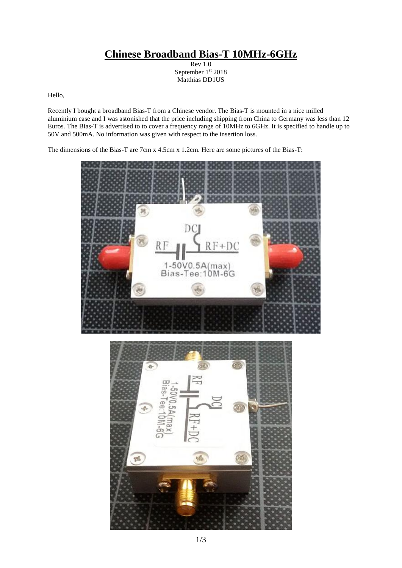## **Chinese Broadband Bias-T 10MHz-6GHz**

Rev 1.0 September 1<sup>st</sup> 2018 Matthias DD1US

Hello,

Recently I bought a broadband Bias-T from a Chinese vendor. The Bias-T is mounted in a nice milled aluminium case and I was astonished that the price including shipping from China to Germany was less than 12 Euros. The Bias-T is advertised to to cover a frequency range of 10MHz to 6GHz. It is specified to handle up to 50V and 500mA. No information was given with respect to the insertion loss.

The dimensions of the Bias-T are 7cm x 4.5cm x 1.2cm. Here are some pictures of the Bias-T:



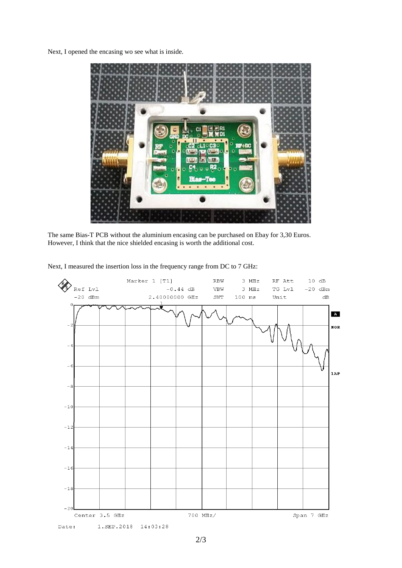Next, I opened the encasing wo see what is inside.



The same Bias-T PCB without the aluminium encasing can be purchased on Ebay for 3,30 Euros. However, I think that the nice shielded encasing is worth the additional cost.

Next, I measured the insertion loss in the frequency range from DC to 7 GHz: